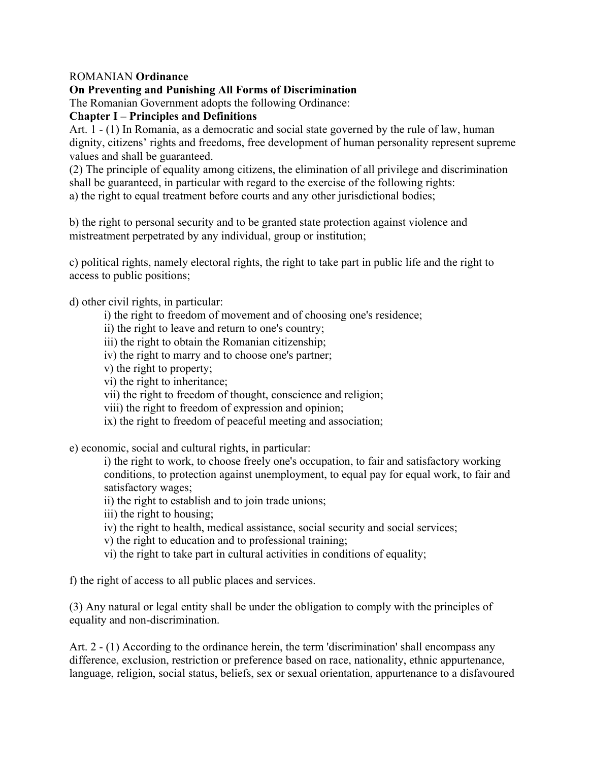### ROMANIAN **Ordinance**

#### **On Preventing and Punishing All Forms of Discrimination**

The Romanian Government adopts the following Ordinance:

#### **Chapter I – Principles and Definitions**

Art. 1 - (1) In Romania, as a democratic and social state governed by the rule of law, human dignity, citizens' rights and freedoms, free development of human personality represent supreme values and shall be guaranteed.

(2) The principle of equality among citizens, the elimination of all privilege and discrimination shall be guaranteed, in particular with regard to the exercise of the following rights: a) the right to equal treatment before courts and any other jurisdictional bodies;

b) the right to personal security and to be granted state protection against violence and mistreatment perpetrated by any individual, group or institution;

c) political rights, namely electoral rights, the right to take part in public life and the right to access to public positions;

d) other civil rights, in particular:

- i) the right to freedom of movement and of choosing one's residence;
- ii) the right to leave and return to one's country;
- iii) the right to obtain the Romanian citizenship;
- iv) the right to marry and to choose one's partner;
- v) the right to property;
- vi) the right to inheritance;
- vii) the right to freedom of thought, conscience and religion;
- viii) the right to freedom of expression and opinion;
- ix) the right to freedom of peaceful meeting and association;

e) economic, social and cultural rights, in particular:

i) the right to work, to choose freely one's occupation, to fair and satisfactory working conditions, to protection against unemployment, to equal pay for equal work, to fair and satisfactory wages;

- ii) the right to establish and to join trade unions;
- iii) the right to housing;
- iv) the right to health, medical assistance, social security and social services;
- v) the right to education and to professional training;
- vi) the right to take part in cultural activities in conditions of equality;

f) the right of access to all public places and services.

(3) Any natural or legal entity shall be under the obligation to comply with the principles of equality and non-discrimination.

Art. 2 - (1) According to the ordinance herein, the term 'discrimination' shall encompass any difference, exclusion, restriction or preference based on race, nationality, ethnic appurtenance, language, religion, social status, beliefs, sex or sexual orientation, appurtenance to a disfavoured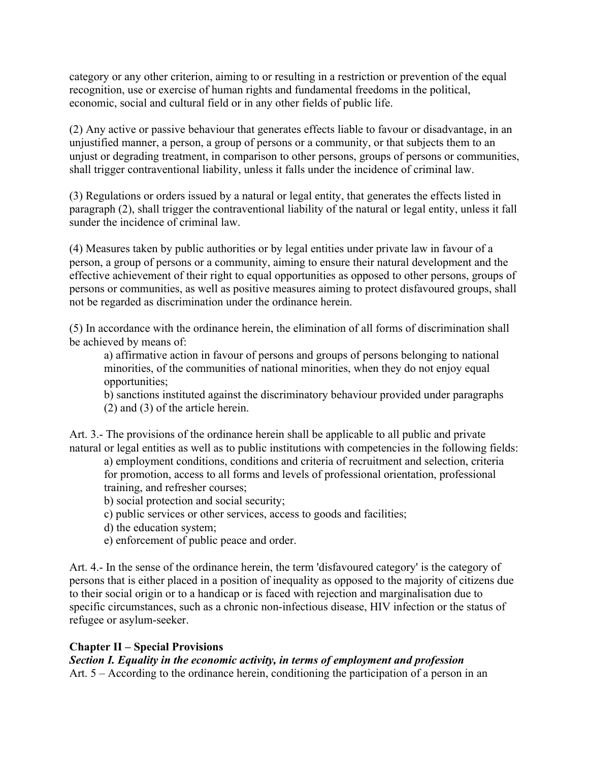category or any other criterion, aiming to or resulting in a restriction or prevention of the equal recognition, use or exercise of human rights and fundamental freedoms in the political, economic, social and cultural field or in any other fields of public life.

(2) Any active or passive behaviour that generates effects liable to favour or disadvantage, in an unjustified manner, a person, a group of persons or a community, or that subjects them to an unjust or degrading treatment, in comparison to other persons, groups of persons or communities, shall trigger contraventional liability, unless it falls under the incidence of criminal law.

(3) Regulations or orders issued by a natural or legal entity, that generates the effects listed in paragraph (2), shall trigger the contraventional liability of the natural or legal entity, unless it fall sunder the incidence of criminal law.

(4) Measures taken by public authorities or by legal entities under private law in favour of a person, a group of persons or a community, aiming to ensure their natural development and the effective achievement of their right to equal opportunities as opposed to other persons, groups of persons or communities, as well as positive measures aiming to protect disfavoured groups, shall not be regarded as discrimination under the ordinance herein.

(5) In accordance with the ordinance herein, the elimination of all forms of discrimination shall be achieved by means of:

a) affirmative action in favour of persons and groups of persons belonging to national minorities, of the communities of national minorities, when they do not enjoy equal opportunities;

b) sanctions instituted against the discriminatory behaviour provided under paragraphs (2) and (3) of the article herein.

Art. 3.- The provisions of the ordinance herein shall be applicable to all public and private natural or legal entities as well as to public institutions with competencies in the following fields:

a) employment conditions, conditions and criteria of recruitment and selection, criteria for promotion, access to all forms and levels of professional orientation, professional training, and refresher courses;

- b) social protection and social security;
- c) public services or other services, access to goods and facilities;
- d) the education system;
- e) enforcement of public peace and order.

Art. 4.- In the sense of the ordinance herein, the term 'disfavoured category' is the category of persons that is either placed in a position of inequality as opposed to the majority of citizens due to their social origin or to a handicap or is faced with rejection and marginalisation due to specific circumstances, such as a chronic non-infectious disease, HIV infection or the status of refugee or asylum-seeker.

### **Chapter II – Special Provisions**

### *Section I. Equality in the economic activity, in terms of employment and profession*

Art. 5 – According to the ordinance herein, conditioning the participation of a person in an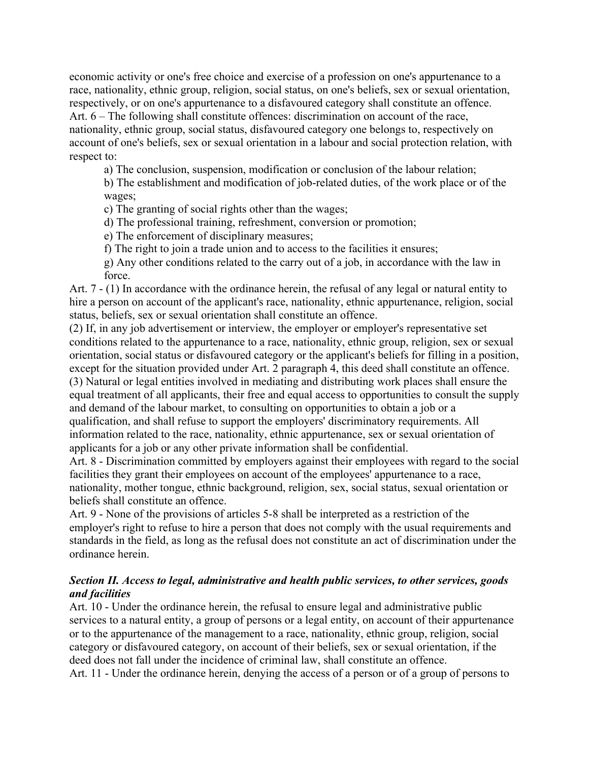economic activity or one's free choice and exercise of a profession on one's appurtenance to a race, nationality, ethnic group, religion, social status, on one's beliefs, sex or sexual orientation, respectively, or on one's appurtenance to a disfavoured category shall constitute an offence. Art. 6 – The following shall constitute offences: discrimination on account of the race, nationality, ethnic group, social status, disfavoured category one belongs to, respectively on account of one's beliefs, sex or sexual orientation in a labour and social protection relation, with respect to:

a) The conclusion, suspension, modification or conclusion of the labour relation;

b) The establishment and modification of job-related duties, of the work place or of the wages;

c) The granting of social rights other than the wages;

d) The professional training, refreshment, conversion or promotion;

e) The enforcement of disciplinary measures;

f) The right to join a trade union and to access to the facilities it ensures;

g) Any other conditions related to the carry out of a job, in accordance with the law in force.

Art. 7 - (1) In accordance with the ordinance herein, the refusal of any legal or natural entity to hire a person on account of the applicant's race, nationality, ethnic appurtenance, religion, social status, beliefs, sex or sexual orientation shall constitute an offence.

(2) If, in any job advertisement or interview, the employer or employer's representative set conditions related to the appurtenance to a race, nationality, ethnic group, religion, sex or sexual orientation, social status or disfavoured category or the applicant's beliefs for filling in a position, except for the situation provided under Art. 2 paragraph 4, this deed shall constitute an offence. (3) Natural or legal entities involved in mediating and distributing work places shall ensure the equal treatment of all applicants, their free and equal access to opportunities to consult the supply and demand of the labour market, to consulting on opportunities to obtain a job or a qualification, and shall refuse to support the employers' discriminatory requirements. All information related to the race, nationality, ethnic appurtenance, sex or sexual orientation of applicants for a job or any other private information shall be confidential.

Art. 8 - Discrimination committed by employers against their employees with regard to the social facilities they grant their employees on account of the employees' appurtenance to a race, nationality, mother tongue, ethnic background, religion, sex, social status, sexual orientation or beliefs shall constitute an offence.

Art. 9 - None of the provisions of articles 5-8 shall be interpreted as a restriction of the employer's right to refuse to hire a person that does not comply with the usual requirements and standards in the field, as long as the refusal does not constitute an act of discrimination under the ordinance herein.

#### *Section II. Access to legal, administrative and health public services, to other services, goods and facilities*

Art. 10 - Under the ordinance herein, the refusal to ensure legal and administrative public services to a natural entity, a group of persons or a legal entity, on account of their appurtenance or to the appurtenance of the management to a race, nationality, ethnic group, religion, social category or disfavoured category, on account of their beliefs, sex or sexual orientation, if the deed does not fall under the incidence of criminal law, shall constitute an offence. Art. 11 - Under the ordinance herein, denying the access of a person or of a group of persons to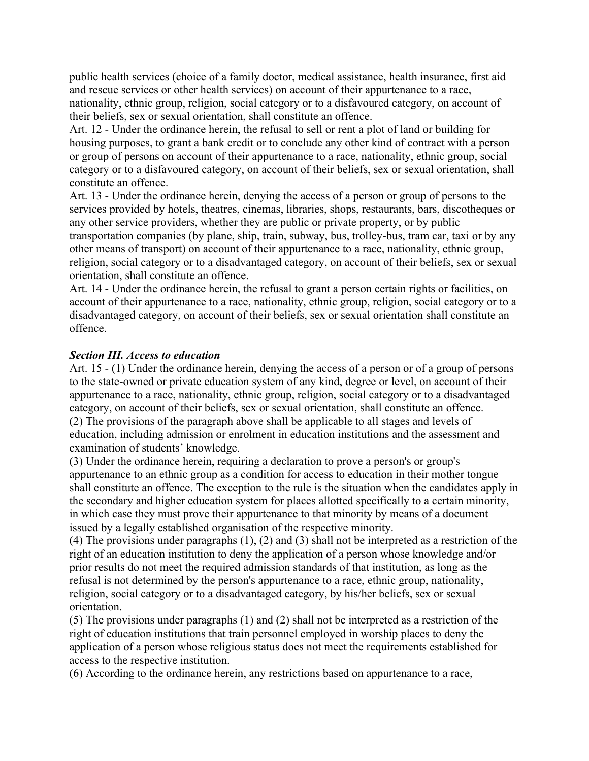public health services (choice of a family doctor, medical assistance, health insurance, first aid and rescue services or other health services) on account of their appurtenance to a race, nationality, ethnic group, religion, social category or to a disfavoured category, on account of their beliefs, sex or sexual orientation, shall constitute an offence.

Art. 12 - Under the ordinance herein, the refusal to sell or rent a plot of land or building for housing purposes, to grant a bank credit or to conclude any other kind of contract with a person or group of persons on account of their appurtenance to a race, nationality, ethnic group, social category or to a disfavoured category, on account of their beliefs, sex or sexual orientation, shall constitute an offence.

Art. 13 - Under the ordinance herein, denying the access of a person or group of persons to the services provided by hotels, theatres, cinemas, libraries, shops, restaurants, bars, discotheques or any other service providers, whether they are public or private property, or by public transportation companies (by plane, ship, train, subway, bus, trolley-bus, tram car, taxi or by any other means of transport) on account of their appurtenance to a race, nationality, ethnic group, religion, social category or to a disadvantaged category, on account of their beliefs, sex or sexual orientation, shall constitute an offence.

Art. 14 - Under the ordinance herein, the refusal to grant a person certain rights or facilities, on account of their appurtenance to a race, nationality, ethnic group, religion, social category or to a disadvantaged category, on account of their beliefs, sex or sexual orientation shall constitute an offence.

#### *Section III. Access to education*

Art. 15 - (1) Under the ordinance herein, denying the access of a person or of a group of persons to the state-owned or private education system of any kind, degree or level, on account of their appurtenance to a race, nationality, ethnic group, religion, social category or to a disadvantaged category, on account of their beliefs, sex or sexual orientation, shall constitute an offence. (2) The provisions of the paragraph above shall be applicable to all stages and levels of education, including admission or enrolment in education institutions and the assessment and examination of students' knowledge.

(3) Under the ordinance herein, requiring a declaration to prove a person's or group's appurtenance to an ethnic group as a condition for access to education in their mother tongue shall constitute an offence. The exception to the rule is the situation when the candidates apply in the secondary and higher education system for places allotted specifically to a certain minority, in which case they must prove their appurtenance to that minority by means of a document issued by a legally established organisation of the respective minority.

(4) The provisions under paragraphs (1), (2) and (3) shall not be interpreted as a restriction of the right of an education institution to deny the application of a person whose knowledge and/or prior results do not meet the required admission standards of that institution, as long as the refusal is not determined by the person's appurtenance to a race, ethnic group, nationality, religion, social category or to a disadvantaged category, by his/her beliefs, sex or sexual orientation.

(5) The provisions under paragraphs (1) and (2) shall not be interpreted as a restriction of the right of education institutions that train personnel employed in worship places to deny the application of a person whose religious status does not meet the requirements established for access to the respective institution.

(6) According to the ordinance herein, any restrictions based on appurtenance to a race,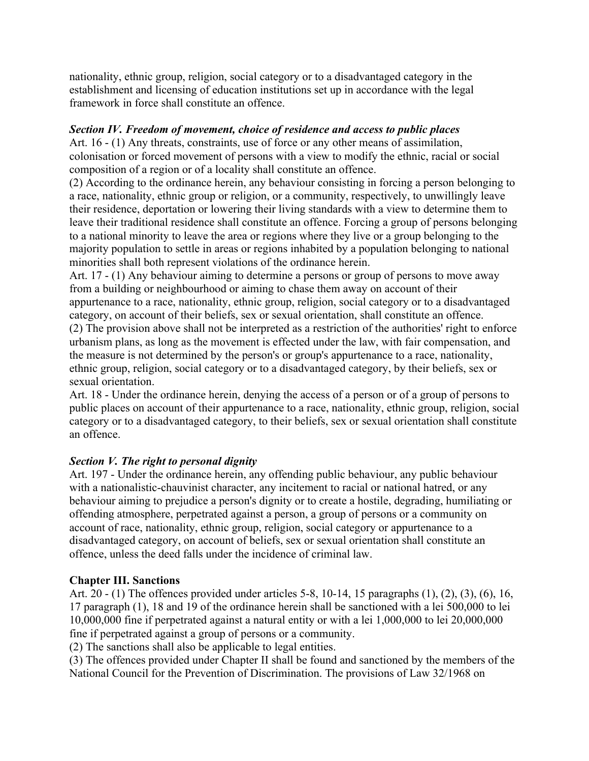nationality, ethnic group, religion, social category or to a disadvantaged category in the establishment and licensing of education institutions set up in accordance with the legal framework in force shall constitute an offence.

### *Section IV. Freedom of movement, choice of residence and access to public places*

Art. 16 - (1) Any threats, constraints, use of force or any other means of assimilation, colonisation or forced movement of persons with a view to modify the ethnic, racial or social composition of a region or of a locality shall constitute an offence.

(2) According to the ordinance herein, any behaviour consisting in forcing a person belonging to a race, nationality, ethnic group or religion, or a community, respectively, to unwillingly leave their residence, deportation or lowering their living standards with a view to determine them to leave their traditional residence shall constitute an offence. Forcing a group of persons belonging to a national minority to leave the area or regions where they live or a group belonging to the majority population to settle in areas or regions inhabited by a population belonging to national minorities shall both represent violations of the ordinance herein.

Art. 17 - (1) Any behaviour aiming to determine a persons or group of persons to move away from a building or neighbourhood or aiming to chase them away on account of their appurtenance to a race, nationality, ethnic group, religion, social category or to a disadvantaged category, on account of their beliefs, sex or sexual orientation, shall constitute an offence. (2) The provision above shall not be interpreted as a restriction of the authorities' right to enforce urbanism plans, as long as the movement is effected under the law, with fair compensation, and the measure is not determined by the person's or group's appurtenance to a race, nationality, ethnic group, religion, social category or to a disadvantaged category, by their beliefs, sex or sexual orientation.

Art. 18 - Under the ordinance herein, denying the access of a person or of a group of persons to public places on account of their appurtenance to a race, nationality, ethnic group, religion, social category or to a disadvantaged category, to their beliefs, sex or sexual orientation shall constitute an offence.

### *Section V. The right to personal dignity*

Art. 197 - Under the ordinance herein, any offending public behaviour, any public behaviour with a nationalistic-chauvinist character, any incitement to racial or national hatred, or any behaviour aiming to prejudice a person's dignity or to create a hostile, degrading, humiliating or offending atmosphere, perpetrated against a person, a group of persons or a community on account of race, nationality, ethnic group, religion, social category or appurtenance to a disadvantaged category, on account of beliefs, sex or sexual orientation shall constitute an offence, unless the deed falls under the incidence of criminal law.

## **Chapter III. Sanctions**

Art. 20 - (1) The offences provided under articles 5-8, 10-14, 15 paragraphs (1), (2), (3), (6), 16, 17 paragraph (1), 18 and 19 of the ordinance herein shall be sanctioned with a lei 500,000 to lei 10,000,000 fine if perpetrated against a natural entity or with a lei 1,000,000 to lei 20,000,000 fine if perpetrated against a group of persons or a community.

(2) The sanctions shall also be applicable to legal entities.

(3) The offences provided under Chapter II shall be found and sanctioned by the members of the National Council for the Prevention of Discrimination. The provisions of Law 32/1968 on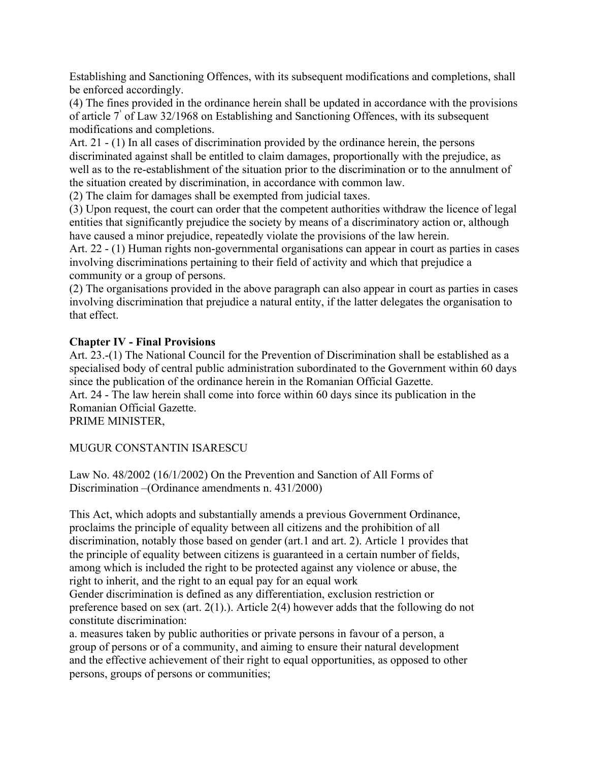Establishing and Sanctioning Offences, with its subsequent modifications and completions, shall be enforced accordingly.

(4) The fines provided in the ordinance herein shall be updated in accordance with the provisions of article 7 of Law 32/1968 on Establishing and Sanctioning Offences, with its subsequent modifications and completions.

Art. 21 - (1) In all cases of discrimination provided by the ordinance herein, the persons discriminated against shall be entitled to claim damages, proportionally with the prejudice, as well as to the re-establishment of the situation prior to the discrimination or to the annulment of the situation created by discrimination, in accordance with common law.

(2) The claim for damages shall be exempted from judicial taxes.

(3) Upon request, the court can order that the competent authorities withdraw the licence of legal entities that significantly prejudice the society by means of a discriminatory action or, although have caused a minor prejudice, repeatedly violate the provisions of the law herein.

Art. 22 - (1) Human rights non-governmental organisations can appear in court as parties in cases involving discriminations pertaining to their field of activity and which that prejudice a community or a group of persons.

(2) The organisations provided in the above paragraph can also appear in court as parties in cases involving discrimination that prejudice a natural entity, if the latter delegates the organisation to that effect.

### **Chapter IV - Final Provisions**

Art. 23.-(1) The National Council for the Prevention of Discrimination shall be established as a specialised body of central public administration subordinated to the Government within 60 days since the publication of the ordinance herein in the Romanian Official Gazette.

Art. 24 - The law herein shall come into force within 60 days since its publication in the Romanian Official Gazette.

PRIME MINISTER,

## MUGUR CONSTANTIN ISARESCU

Law No. 48/2002 (16/1/2002) On the Prevention and Sanction of All Forms of Discrimination –(Ordinance amendments n. 431/2000)

This Act, which adopts and substantially amends a previous Government Ordinance, proclaims the principle of equality between all citizens and the prohibition of all discrimination, notably those based on gender (art.1 and art. 2). Article 1 provides that the principle of equality between citizens is guaranteed in a certain number of fields, among which is included the right to be protected against any violence or abuse, the right to inherit, and the right to an equal pay for an equal work

Gender discrimination is defined as any differentiation, exclusion restriction or preference based on sex (art. 2(1).). Article 2(4) however adds that the following do not constitute discrimination:

a. measures taken by public authorities or private persons in favour of a person, a group of persons or of a community, and aiming to ensure their natural development and the effective achievement of their right to equal opportunities, as opposed to other persons, groups of persons or communities;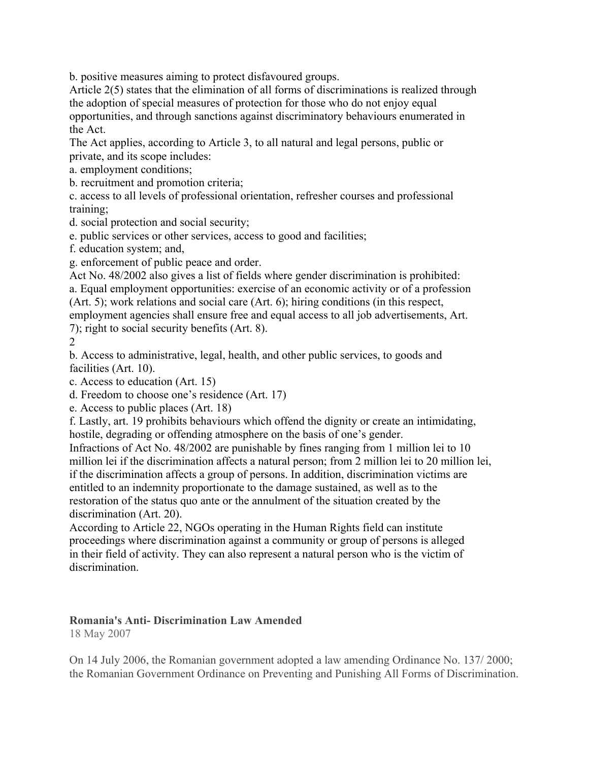b. positive measures aiming to protect disfavoured groups.

Article 2(5) states that the elimination of all forms of discriminations is realized through the adoption of special measures of protection for those who do not enjoy equal opportunities, and through sanctions against discriminatory behaviours enumerated in the Act.

The Act applies, according to Article 3, to all natural and legal persons, public or private, and its scope includes:

a. employment conditions;

b. recruitment and promotion criteria;

c. access to all levels of professional orientation, refresher courses and professional training;

d. social protection and social security;

e. public services or other services, access to good and facilities;

f. education system; and,

g. enforcement of public peace and order.

Act No. 48/2002 also gives a list of fields where gender discrimination is prohibited: a. Equal employment opportunities: exercise of an economic activity or of a profession

(Art. 5); work relations and social care (Art. 6); hiring conditions (in this respect,

employment agencies shall ensure free and equal access to all job advertisements, Art. 7); right to social security benefits (Art. 8).

 $\mathfrak{D}$ 

b. Access to administrative, legal, health, and other public services, to goods and facilities (Art. 10).

c. Access to education (Art. 15)

d. Freedom to choose one's residence (Art. 17)

e. Access to public places (Art. 18)

f. Lastly, art. 19 prohibits behaviours which offend the dignity or create an intimidating, hostile, degrading or offending atmosphere on the basis of one's gender.

Infractions of Act No. 48/2002 are punishable by fines ranging from 1 million lei to 10 million lei if the discrimination affects a natural person; from 2 million lei to 20 million lei, if the discrimination affects a group of persons. In addition, discrimination victims are entitled to an indemnity proportionate to the damage sustained, as well as to the restoration of the status quo ante or the annulment of the situation created by the discrimination (Art. 20).

According to Article 22, NGOs operating in the Human Rights field can institute proceedings where discrimination against a community or group of persons is alleged in their field of activity. They can also represent a natural person who is the victim of discrimination.

# **Romania's Anti- Discrimination Law Amended**

18 May 2007

On 14 July 2006, the Romanian government adopted a law amending Ordinance No. 137/ 2000; the Romanian Government Ordinance on Preventing and Punishing All Forms of Discrimination.